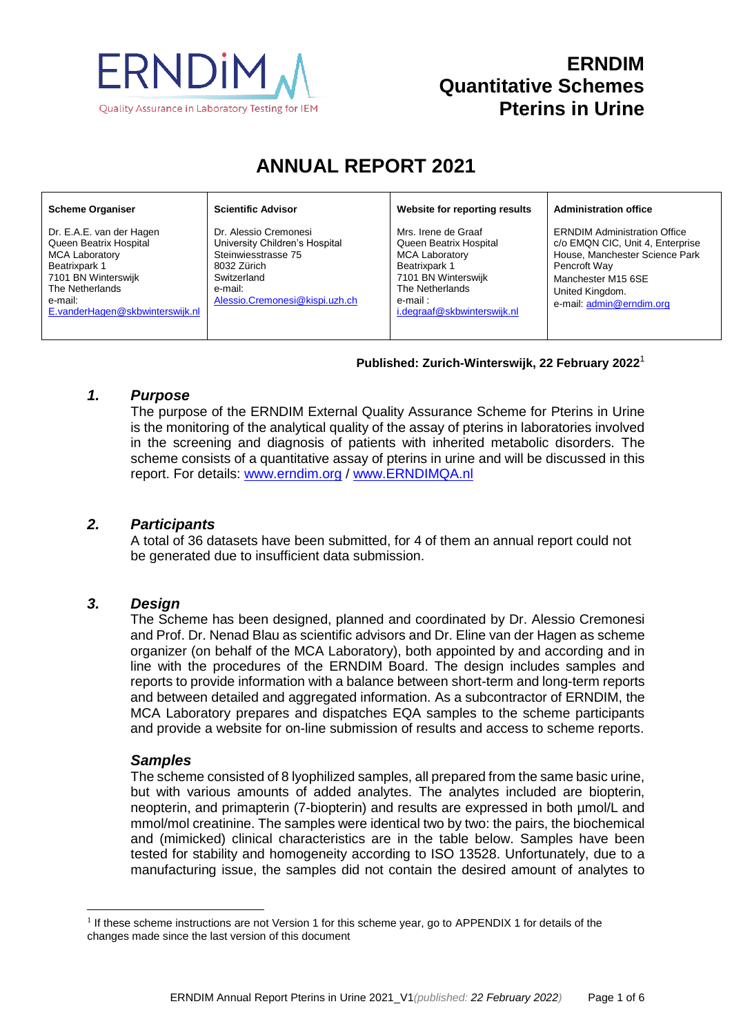

## **ERNDIM Quantitative Schemes Pterins in Urine**

# **ANNUAL REPORT 2021**

#### **Scheme Organiser**

Dr. E.A.E. van der Hagen Queen Beatrix Hospital MCA Laboratory Beatrixpark 1 7101 BN Winterswijk The Netherlands e-mail: [E.vanderHagen@skbwinterswijk.nl](mailto:E.vanderHagen@skbwinterswijk.nl) **Scientific Advisor**

Dr. Alessio Cremonesi University Children's Hospital Steinwiesstrasse 75 8032 Zürich **Switzerland** e-mail: [Alessio.Cremonesi@kispi.uzh.ch](mailto:Alessio.Cremonesi@kispi.uzh.ch) **Website for reporting results**

Mrs. Irene de Graaf Queen Beatrix Hospital MCA Laboratory Beatrixpark 1 7101 BN Winterswijk The Netherlands e-mail : [i.degraaf@skbwinterswijk.nl](mailto:i.degraaf@skbwinterswijk.nl) **Administration office**

ERNDIM Administration Office c/o EMQN CIC, Unit 4, Enterprise House, Manchester Science Park Pencroft Way Manchester M15 6SE United Kingdom. e-mail[: admin@erndim.org](mailto:admin@erndim.org)

#### **Published: Zurich-Winterswijk, 22 February 2022** 1

### *1. Purpose*

The purpose of the ERNDIM External Quality Assurance Scheme for Pterins in Urine is the monitoring of the analytical quality of the assay of pterins in laboratories involved in the screening and diagnosis of patients with inherited metabolic disorders. The scheme consists of a quantitative assay of pterins in urine and will be discussed in this report. For details: [www.erndim.o](http://www.erndim.unibas.ch/)rg / [www.ERNDIMQA.nl](http://www.erndimqa.nl/)

#### *2. Participants*

A total of 36 datasets have been submitted, for 4 of them an annual report could not be generated due to insufficient data submission.

## *3. Design*

The Scheme has been designed, planned and coordinated by Dr. Alessio Cremonesi and Prof. Dr. Nenad Blau as scientific advisors and Dr. Eline van der Hagen as scheme organizer (on behalf of the MCA Laboratory), both appointed by and according and in line with the procedures of the ERNDIM Board. The design includes samples and reports to provide information with a balance between short-term and long-term reports and between detailed and aggregated information. As a subcontractor of ERNDIM, the MCA Laboratory prepares and dispatches EQA samples to the scheme participants and provide a website for on-line submission of results and access to scheme reports.

#### *Samples*

l

The scheme consisted of 8 lyophilized samples, all prepared from the same basic urine, but with various amounts of added analytes. The analytes included are biopterin, neopterin, and primapterin (7-biopterin) and results are expressed in both µmol/L and mmol/mol creatinine. The samples were identical two by two: the pairs, the biochemical and (mimicked) clinical characteristics are in the table below. Samples have been tested for stability and homogeneity according to ISO 13528. Unfortunately, due to a manufacturing issue, the samples did not contain the desired amount of analytes to

<sup>&</sup>lt;sup>1</sup> If these scheme instructions are not Version 1 for this scheme year, go to [APPENDIX 1](#page-5-0) for details of the changes made since the last version of this document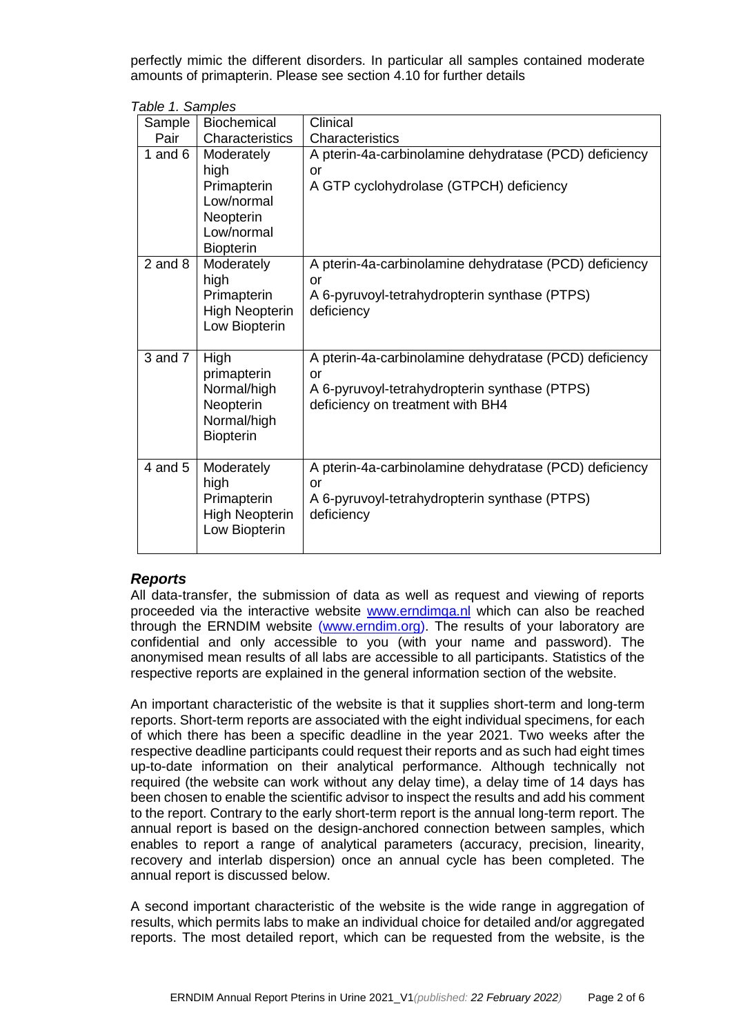perfectly mimic the different disorders. In particular all samples contained moderate amounts of primapterin. Please see section 4.10 for further details

|  | Table 1. Samples |  |  |  |
|--|------------------|--|--|--|
|--|------------------|--|--|--|

| Sample      | <b>Biochemical</b>                                                                             | Clinical                                                                                                                                          |
|-------------|------------------------------------------------------------------------------------------------|---------------------------------------------------------------------------------------------------------------------------------------------------|
| Pair        | Characteristics                                                                                | Characteristics                                                                                                                                   |
| 1 and $6$   | Moderately<br>high<br>Primapterin<br>Low/normal<br>Neopterin<br>Low/normal<br><b>Biopterin</b> | A pterin-4a-carbinolamine dehydratase (PCD) deficiency<br>or<br>A GTP cyclohydrolase (GTPCH) deficiency                                           |
| $2$ and $8$ | Moderately<br>high<br>Primapterin<br><b>High Neopterin</b><br>Low Biopterin                    | A pterin-4a-carbinolamine dehydratase (PCD) deficiency<br>or<br>A 6-pyruvoyl-tetrahydropterin synthase (PTPS)<br>deficiency                       |
| $3$ and $7$ | High<br>primapterin<br>Normal/high<br>Neopterin<br>Normal/high<br><b>Biopterin</b>             | A pterin-4a-carbinolamine dehydratase (PCD) deficiency<br>or<br>A 6-pyruvoyl-tetrahydropterin synthase (PTPS)<br>deficiency on treatment with BH4 |
| $4$ and $5$ | Moderately<br>high<br>Primapterin<br><b>High Neopterin</b><br>Low Biopterin                    | A pterin-4a-carbinolamine dehydratase (PCD) deficiency<br>or<br>A 6-pyruvoyl-tetrahydropterin synthase (PTPS)<br>deficiency                       |

#### *Reports*

All data-transfer, the submission of data as well as request and viewing of reports proceeded via the interactive website [www.erndimqa.nl](http://www.erndimqa.nl/) which can also be reached through the ERNDIM website [\(www.erndim.org\)](http://www.erndim.org/). The results of your laboratory are confidential and only accessible to you (with your name and password). The anonymised mean results of all labs are accessible to all participants. Statistics of the respective reports are explained in the general information section of the website.

An important characteristic of the website is that it supplies short-term and long-term reports. Short-term reports are associated with the eight individual specimens, for each of which there has been a specific deadline in the year 2021. Two weeks after the respective deadline participants could request their reports and as such had eight times up-to-date information on their analytical performance. Although technically not required (the website can work without any delay time), a delay time of 14 days has been chosen to enable the scientific advisor to inspect the results and add his comment to the report. Contrary to the early short-term report is the annual long-term report. The annual report is based on the design-anchored connection between samples, which enables to report a range of analytical parameters (accuracy, precision, linearity, recovery and interlab dispersion) once an annual cycle has been completed. The annual report is discussed below.

A second important characteristic of the website is the wide range in aggregation of results, which permits labs to make an individual choice for detailed and/or aggregated reports. The most detailed report, which can be requested from the website, is the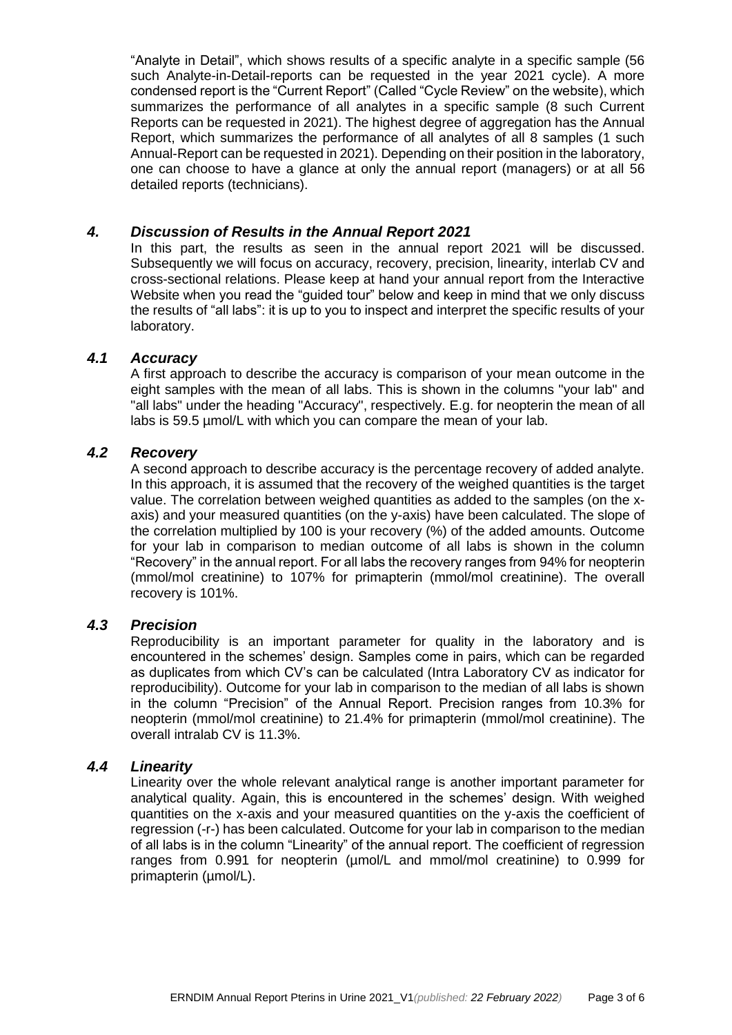"Analyte in Detail", which shows results of a specific analyte in a specific sample (56 such Analyte-in-Detail-reports can be requested in the year 2021 cycle). A more condensed report is the "Current Report" (Called "Cycle Review" on the website), which summarizes the performance of all analytes in a specific sample (8 such Current Reports can be requested in 2021). The highest degree of aggregation has the Annual Report, which summarizes the performance of all analytes of all 8 samples (1 such Annual-Report can be requested in 2021). Depending on their position in the laboratory, one can choose to have a glance at only the annual report (managers) or at all 56 detailed reports (technicians).

### *4. Discussion of Results in the Annual Report 2021*

In this part, the results as seen in the annual report 2021 will be discussed. Subsequently we will focus on accuracy, recovery, precision, linearity, interlab CV and cross-sectional relations. Please keep at hand your annual report from the Interactive Website when you read the "guided tour" below and keep in mind that we only discuss the results of "all labs": it is up to you to inspect and interpret the specific results of your laboratory.

### *4.1 Accuracy*

A first approach to describe the accuracy is comparison of your mean outcome in the eight samples with the mean of all labs. This is shown in the columns "your lab" and "all labs" under the heading "Accuracy", respectively. E.g. for neopterin the mean of all labs is 59.5 µmol/L with which you can compare the mean of your lab.

### *4.2 Recovery*

A second approach to describe accuracy is the percentage recovery of added analyte. In this approach, it is assumed that the recovery of the weighed quantities is the target value. The correlation between weighed quantities as added to the samples (on the xaxis) and your measured quantities (on the y-axis) have been calculated. The slope of the correlation multiplied by 100 is your recovery (%) of the added amounts. Outcome for your lab in comparison to median outcome of all labs is shown in the column "Recovery" in the annual report. For all labs the recovery ranges from 94% for neopterin (mmol/mol creatinine) to 107% for primapterin (mmol/mol creatinine). The overall recovery is 101%.

#### *4.3 Precision*

Reproducibility is an important parameter for quality in the laboratory and is encountered in the schemes' design. Samples come in pairs, which can be regarded as duplicates from which CV's can be calculated (Intra Laboratory CV as indicator for reproducibility). Outcome for your lab in comparison to the median of all labs is shown in the column "Precision" of the Annual Report. Precision ranges from 10.3% for neopterin (mmol/mol creatinine) to 21.4% for primapterin (mmol/mol creatinine). The overall intralab CV is 11.3%.

#### *4.4 Linearity*

Linearity over the whole relevant analytical range is another important parameter for analytical quality. Again, this is encountered in the schemes' design. With weighed quantities on the x-axis and your measured quantities on the y-axis the coefficient of regression (-r-) has been calculated. Outcome for your lab in comparison to the median of all labs is in the column "Linearity" of the annual report. The coefficient of regression ranges from 0.991 for neopterin (µmol/L and mmol/mol creatinine) to 0.999 for primapterin (µmol/L).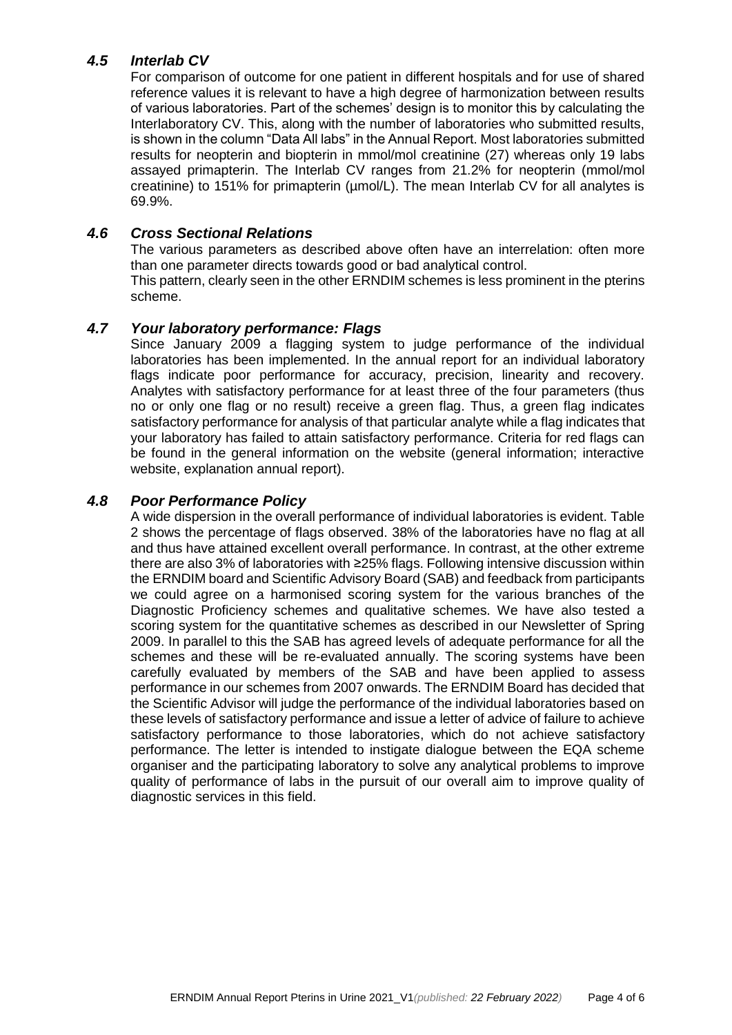## *4.5 Interlab CV*

For comparison of outcome for one patient in different hospitals and for use of shared reference values it is relevant to have a high degree of harmonization between results of various laboratories. Part of the schemes' design is to monitor this by calculating the Interlaboratory CV. This, along with the number of laboratories who submitted results, is shown in the column "Data All labs" in the Annual Report. Most laboratories submitted results for neopterin and biopterin in mmol/mol creatinine (27) whereas only 19 labs assayed primapterin. The Interlab CV ranges from 21.2% for neopterin (mmol/mol creatinine) to 151% for primapterin (µmol/L). The mean Interlab CV for all analytes is 69.9%.

## *4.6 Cross Sectional Relations*

The various parameters as described above often have an interrelation: often more than one parameter directs towards good or bad analytical control. This pattern, clearly seen in the other ERNDIM schemes is less prominent in the pterins scheme.

### *4.7 Your laboratory performance: Flags*

Since January 2009 a flagging system to judge performance of the individual laboratories has been implemented. In the annual report for an individual laboratory flags indicate poor performance for accuracy, precision, linearity and recovery. Analytes with satisfactory performance for at least three of the four parameters (thus no or only one flag or no result) receive a green flag. Thus, a green flag indicates satisfactory performance for analysis of that particular analyte while a flag indicates that your laboratory has failed to attain satisfactory performance. Criteria for red flags can be found in the general information on the website (general information; interactive website, explanation annual report).

### *4.8 Poor Performance Policy*

A wide dispersion in the overall performance of individual laboratories is evident. Table 2 shows the percentage of flags observed. 38% of the laboratories have no flag at all and thus have attained excellent overall performance. In contrast, at the other extreme there are also 3% of laboratories with ≥25% flags. Following intensive discussion within the ERNDIM board and Scientific Advisory Board (SAB) and feedback from participants we could agree on a harmonised scoring system for the various branches of the Diagnostic Proficiency schemes and qualitative schemes. We have also tested a scoring system for the quantitative schemes as described in our Newsletter of Spring 2009. In parallel to this the SAB has agreed levels of adequate performance for all the schemes and these will be re-evaluated annually. The scoring systems have been carefully evaluated by members of the SAB and have been applied to assess performance in our schemes from 2007 onwards. The ERNDIM Board has decided that the Scientific Advisor will judge the performance of the individual laboratories based on these levels of satisfactory performance and issue a letter of advice of failure to achieve satisfactory performance to those laboratories, which do not achieve satisfactory performance. The letter is intended to instigate dialogue between the EQA scheme organiser and the participating laboratory to solve any analytical problems to improve quality of performance of labs in the pursuit of our overall aim to improve quality of diagnostic services in this field.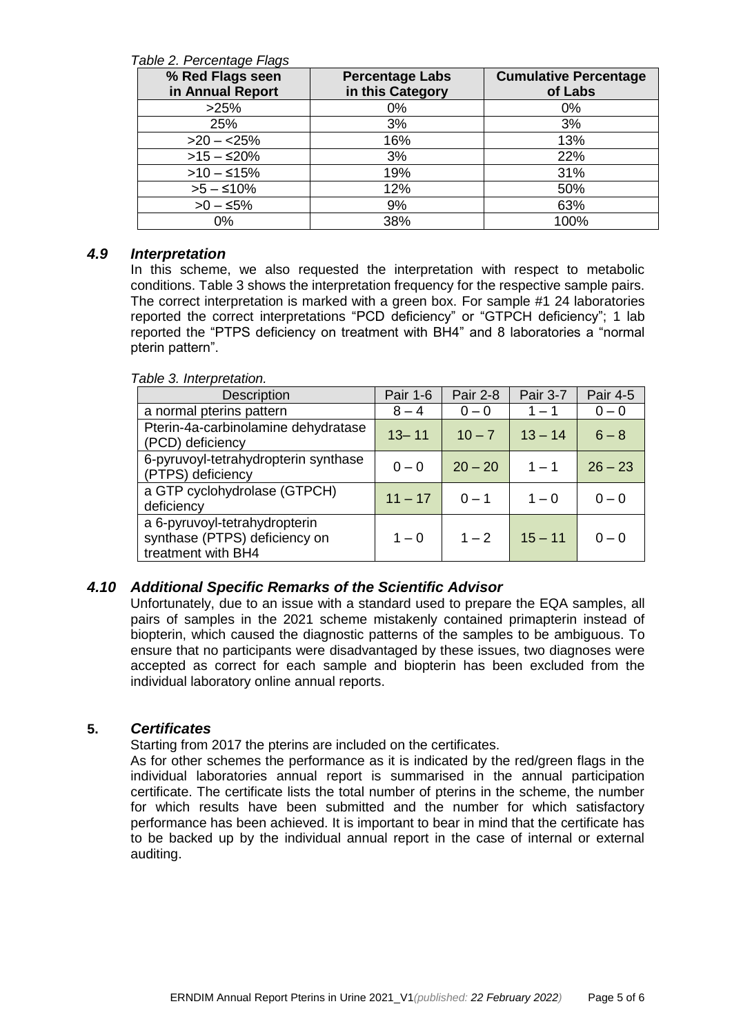#### *Table 2. Percentage Flags*

| % Red Flags seen<br>in Annual Report | <b>Percentage Labs</b><br>in this Category | <b>Cumulative Percentage</b><br>of Labs |
|--------------------------------------|--------------------------------------------|-----------------------------------------|
| >25%                                 | $0\%$                                      | 0%                                      |
| 25%                                  | 3%                                         | 3%                                      |
| $>20 - 25%$                          | 16%                                        | 13%                                     |
| $>15 - 20\%$                         | 3%                                         | 22%                                     |
| $>10 - 15\%$                         | 19%                                        | 31%                                     |
| $>5-510%$                            | 12%                                        | 50%                                     |
| $>0 - 5\%$                           | 9%                                         | 63%                                     |
| 0%                                   | 38%                                        | 100%                                    |

#### *4.9 Interpretation*

In this scheme, we also requested the interpretation with respect to metabolic conditions. Table 3 shows the interpretation frequency for the respective sample pairs. The correct interpretation is marked with a green box. For sample #1 24 laboratories reported the correct interpretations "PCD deficiency" or "GTPCH deficiency"; 1 lab reported the "PTPS deficiency on treatment with BH4" and 8 laboratories a "normal pterin pattern".

#### *Table 3. Interpretation.* Description | Pair 1-6 | Pair 2-8 | Pair 3-7 | Pair 4-5 a normal pterins pattern 8 – 4 0 – 0 1 – 1 0 – 0 Pterin-4a-carbinolamine dehydratase (PCD) deficiency  $(PCD)$  deficiency 6-pyruvoyl-tetrahydropterin synthase (PTPS) deficiency <sup>0</sup> – <sup>0</sup> 20 – <sup>20</sup> <sup>1</sup> – <sup>1</sup> <sup>26</sup> – <sup>23</sup> a GTP cyclohydrolase (GTPCH) deficiency  $0-0$  deficiency  $11-17$  0 – 1  $1-0$  0 – 0 a 6-pyruvoyl-tetrahydropterin synthase (PTPS) deficiency on treatment with BH4  $1 - 0$  |  $1 - 2$  |  $15 - 11$  |  $0 - 0$

## *4.10 Additional Specific Remarks of the Scientific Advisor*

Unfortunately, due to an issue with a standard used to prepare the EQA samples, all pairs of samples in the 2021 scheme mistakenly contained primapterin instead of biopterin, which caused the diagnostic patterns of the samples to be ambiguous. To ensure that no participants were disadvantaged by these issues, two diagnoses were accepted as correct for each sample and biopterin has been excluded from the individual laboratory online annual reports.

#### **5.** *Certificates*

Starting from 2017 the pterins are included on the certificates.

As for other schemes the performance as it is indicated by the red/green flags in the individual laboratories annual report is summarised in the annual participation certificate. The certificate lists the total number of pterins in the scheme, the number for which results have been submitted and the number for which satisfactory performance has been achieved. It is important to bear in mind that the certificate has to be backed up by the individual annual report in the case of internal or external auditing.